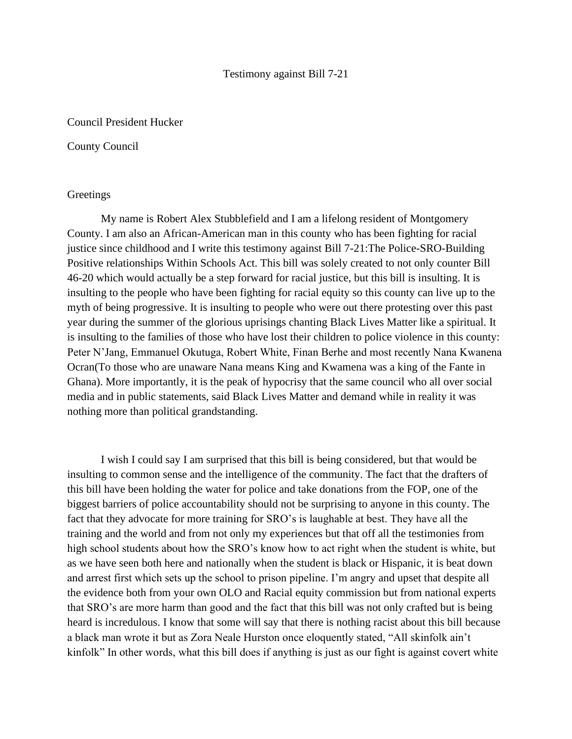## Testimony against Bill 7-21

## Council President Hucker

## County Council

## **Greetings**

My name is Robert Alex Stubblefield and I am a lifelong resident of Montgomery County. I am also an African-American man in this county who has been fighting for racial justice since childhood and I write this testimony against Bill 7-21:The Police-SRO-Building Positive relationships Within Schools Act. This bill was solely created to not only counter Bill 46-20 which would actually be a step forward for racial justice, but this bill is insulting. It is insulting to the people who have been fighting for racial equity so this county can live up to the myth of being progressive. It is insulting to people who were out there protesting over this past year during the summer of the glorious uprisings chanting Black Lives Matter like a spiritual. It is insulting to the families of those who have lost their children to police violence in this county: Peter N'Jang, Emmanuel Okutuga, Robert White, Finan Berhe and most recently Nana Kwanena Ocran(To those who are unaware Nana means King and Kwamena was a king of the Fante in Ghana). More importantly, it is the peak of hypocrisy that the same council who all over social media and in public statements, said Black Lives Matter and demand while in reality it was nothing more than political grandstanding.

I wish I could say I am surprised that this bill is being considered, but that would be insulting to common sense and the intelligence of the community. The fact that the drafters of this bill have been holding the water for police and take donations from the FOP, one of the biggest barriers of police accountability should not be surprising to anyone in this county. The fact that they advocate for more training for SRO's is laughable at best. They have all the training and the world and from not only my experiences but that off all the testimonies from high school students about how the SRO's know how to act right when the student is white, but as we have seen both here and nationally when the student is black or Hispanic, it is beat down and arrest first which sets up the school to prison pipeline. I'm angry and upset that despite all the evidence both from your own OLO and Racial equity commission but from national experts that SRO's are more harm than good and the fact that this bill was not only crafted but is being heard is incredulous. I know that some will say that there is nothing racist about this bill because a black man wrote it but as Zora Neale Hurston once eloquently stated, "All skinfolk ain't kinfolk" In other words, what this bill does if anything is just as our fight is against covert white